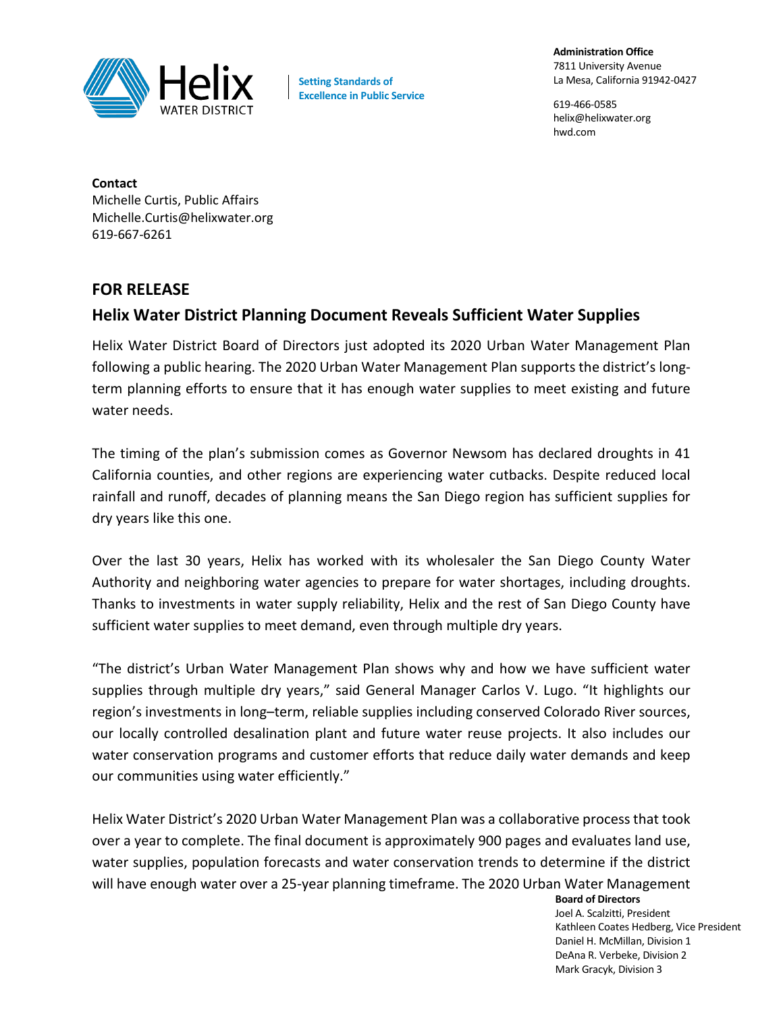

**Setting Standards of Excellence in Public Service** **Administration Office** 7811 University Avenue La Mesa, California 91942-0427

619-466-0585 helix@helixwater.org hwd.com

**Contact** Michelle Curtis, Public Affairs Michelle.Curtis@helixwater.org 619-667-6261

## **FOR RELEASE**

## **Helix Water District Planning Document Reveals Sufficient Water Supplies**

Helix Water District Board of Directors just adopted its 2020 Urban Water Management Plan following a public hearing. The 2020 Urban Water Management Plan supports the district's longterm planning efforts to ensure that it has enough water supplies to meet existing and future water needs.

The timing of the plan's submission comes as Governor Newsom has declared droughts in 41 California counties, and other regions are experiencing water cutbacks. Despite reduced local rainfall and runoff, decades of planning means the San Diego region has sufficient supplies for dry years like this one.

Over the last 30 years, Helix has worked with its wholesaler the San Diego County Water Authority and neighboring water agencies to prepare for water shortages, including droughts. Thanks to investments in water supply reliability, Helix and the rest of San Diego County have sufficient water supplies to meet demand, even through multiple dry years.

"The district's Urban Water Management Plan shows why and how we have sufficient water supplies through multiple dry years," said General Manager Carlos V. Lugo. "It highlights our region's investments in long–term, reliable supplies including conserved Colorado River sources, our locally controlled desalination plant and future water reuse projects. It also includes our water conservation programs and customer efforts that reduce daily water demands and keep our communities using water efficiently."

Helix Water District's 2020 Urban Water Management Plan was a collaborative process that took over a year to complete. The final document is approximately 900 pages and evaluates land use, water supplies, population forecasts and water conservation trends to determine if the district will have enough water over a 25-year planning timeframe. The 2020 Urban Water Management

**Board of Directors** Joel A. Scalzitti, President Kathleen Coates Hedberg, Vice President Daniel H. McMillan, Division 1 DeAna R. Verbeke, Division 2 Mark Gracyk, Division 3